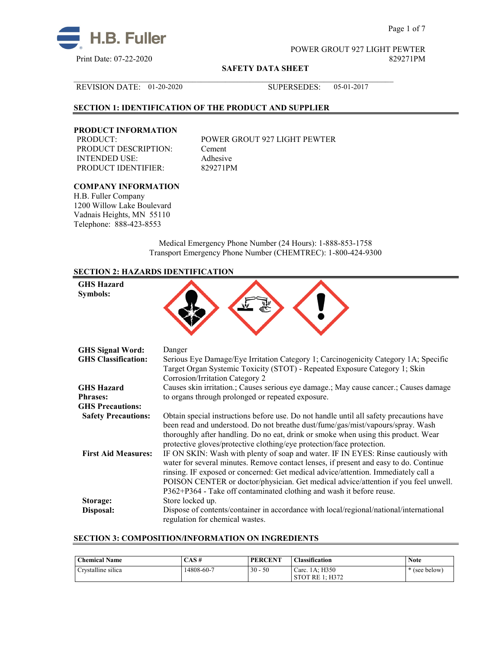

Page 1 of 7

POWER GROUT 927 LIGHT PEWTER

**SAFETY DATA SHEET**

 $\mathcal{L}_\mathcal{L} = \{ \mathcal{L}_\mathcal{L} = \{ \mathcal{L}_\mathcal{L} = \{ \mathcal{L}_\mathcal{L} = \{ \mathcal{L}_\mathcal{L} = \{ \mathcal{L}_\mathcal{L} = \{ \mathcal{L}_\mathcal{L} = \{ \mathcal{L}_\mathcal{L} = \{ \mathcal{L}_\mathcal{L} = \{ \mathcal{L}_\mathcal{L} = \{ \mathcal{L}_\mathcal{L} = \{ \mathcal{L}_\mathcal{L} = \{ \mathcal{L}_\mathcal{L} = \{ \mathcal{L}_\mathcal{L} = \{ \mathcal{L}_\mathcal{$ REVISION DATE: 01-20-2020 SUPERSEDES: 05-01-2017

## **SECTION 1: IDENTIFICATION OF THE PRODUCT AND SUPPLIER**

## **PRODUCT INFORMATION**

PRODUCT DESCRIPTION: Cement INTENDED USE: Adhesive<br>
PRODUCT IDENTIFIER: 829271PM PRODUCT IDENTIFIER:

POWER GROUT 927 LIGHT PEWTER

#### **COMPANY INFORMATION**

H.B. Fuller Company 1200 Willow Lake Boulevard Vadnais Heights, MN 55110 Telephone: 888-423-8553

> Medical Emergency Phone Number (24 Hours): 1-888-853-1758 Transport Emergency Phone Number (CHEMTREC): 1-800-424-9300

## **SECTION 2: HAZARDS IDENTIFICATION**

| <b>GHS Hazard</b><br>Symbols: |                                                                                                                                                                                                                                                                                                                                                                                                                                 |
|-------------------------------|---------------------------------------------------------------------------------------------------------------------------------------------------------------------------------------------------------------------------------------------------------------------------------------------------------------------------------------------------------------------------------------------------------------------------------|
| <b>GHS Signal Word:</b>       | Danger                                                                                                                                                                                                                                                                                                                                                                                                                          |
| <b>GHS Classification:</b>    | Serious Eye Damage/Eye Irritation Category 1; Carcinogenicity Category 1A; Specific<br>Target Organ Systemic Toxicity (STOT) - Repeated Exposure Category 1; Skin<br>Corrosion/Irritation Category 2                                                                                                                                                                                                                            |
| <b>GHS Hazard</b>             | Causes skin irritation.; Causes serious eye damage.; May cause cancer.; Causes damage                                                                                                                                                                                                                                                                                                                                           |
| <b>Phrases:</b>               | to organs through prolonged or repeated exposure.                                                                                                                                                                                                                                                                                                                                                                               |
| <b>GHS Precautions:</b>       |                                                                                                                                                                                                                                                                                                                                                                                                                                 |
| <b>Safety Precautions:</b>    | Obtain special instructions before use. Do not handle until all safety precautions have<br>been read and understood. Do not breathe dust/fume/gas/mist/vapours/spray. Wash<br>thoroughly after handling. Do no eat, drink or smoke when using this product. Wear<br>protective gloves/protective clothing/eye protection/face protection.                                                                                       |
| <b>First Aid Measures:</b>    | IF ON SKIN: Wash with plenty of soap and water. IF IN EYES: Rinse cautiously with<br>water for several minutes. Remove contact lenses, if present and easy to do. Continue<br>rinsing. IF exposed or concerned: Get medical advice/attention. Immediately call a<br>POISON CENTER or doctor/physician. Get medical advice/attention if you feel unwell.<br>P362+P364 - Take off contaminated clothing and wash it before reuse. |
| Storage:<br>Disposal:         | Store locked up.<br>Dispose of contents/container in accordance with local/regional/national/international<br>regulation for chemical wastes.                                                                                                                                                                                                                                                                                   |

## **SECTION 3: COMPOSITION/INFORMATION ON INGREDIENTS**

| <b>Chemical Name</b>           | $CAS \#$   | <b>PERCENT</b> | <b>Classification</b>                    | <b>Note</b> |
|--------------------------------|------------|----------------|------------------------------------------|-------------|
| $\cdots$<br>Crystalline silica | 14808-60-7 | $30 -$<br>50   | Carc. 1A: H350<br><b>STOT RE 1: H372</b> | (see below) |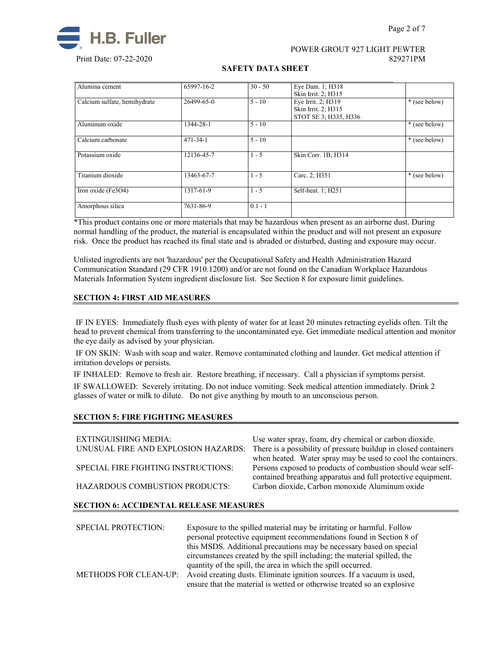

## POWER GROUT 927 LIGHT PEWTER Print Date: 07-22-2020 829271PM

#### **SAFETY DATA SHEET**

| Alumina cement               | 65997-16-2     | $30 - 50$ | Eye Dam. 1; H318      |               |
|------------------------------|----------------|-----------|-----------------------|---------------|
|                              |                |           | Skin Irrit. 2; H315   |               |
| Calcium sulfate, hemihydrate | 26499-65-0     | $5 - 10$  | Eye Irrit. 2; H319    | * (see below) |
|                              |                |           | Skin Irrit. 2; H315   |               |
|                              |                |           | STOT SE 3; H335, H336 |               |
| Aluminum oxide               | 1344-28-1      | $5 - 10$  |                       | * (see below) |
| Calcium carbonate            | $471 - 34 - 1$ | $5 - 10$  |                       | * (see below) |
|                              |                |           |                       |               |
| Potassium oxide              | 12136-45-7     | $1 - 5$   | Skin Corr. 1B; H314   |               |
|                              |                |           |                       |               |
| Titanium dioxide             | 13463-67-7     | $1 - 5$   | Carc. 2; H351         | * (see below) |
| Iron oxide (Fe3O4)           | 1317-61-9      | $1 - 5$   | Self-heat. 1; H251    |               |
|                              |                |           |                       |               |
| Amorphous silica             | 7631-86-9      | $0.1 - 1$ |                       |               |

\*This product contains one or more materials that may be hazardous when present as an airborne dust. During normal handling of the product, the material is encapsulated within the product and will not present an exposure risk. Once the product has reached its final state and is abraded or disturbed, dusting and exposure may occur.

Unlisted ingredients are not 'hazardous' per the Occupational Safety and Health Administration Hazard Communication Standard (29 CFR 1910.1200) and/or are not found on the Canadian Workplace Hazardous Materials Information System ingredient disclosure list. See Section 8 for exposure limit guidelines.

## **SECTION 4: FIRST AID MEASURES**

IF IN EYES: Immediately flush eyes with plenty of water for at least 20 minutes retracting eyelids often. Tilt the head to prevent chemical from transferring to the uncontaminated eye. Get immediate medical attention and monitor the eye daily as advised by your physician.

IF ON SKIN: Wash with soap and water. Remove contaminated clothing and launder. Get medical attention if irritation develops or persists.

IF INHALED: Remove to fresh air. Restore breathing, if necessary. Call a physician if symptoms persist. IF SWALLOWED:Severely irritating. Do not induce vomiting. Seek medical attention immediately. Drink 2 glasses of water or milk to dilute. Do not give anything by mouth to an unconscious person.

## **SECTION 5: FIRE FIGHTING MEASURES**

| <b>EXTINGUISHING MEDIA:</b><br>UNUSUAL FIRE AND EXPLOSION HAZARDS: | Use water spray, foam, dry chemical or carbon dioxide.<br>There is a possibility of pressure buildup in closed containers<br>when heated. Water spray may be used to cool the containers. |
|--------------------------------------------------------------------|-------------------------------------------------------------------------------------------------------------------------------------------------------------------------------------------|
| SPECIAL FIRE FIGHTING INSTRUCTIONS:                                | Persons exposed to products of combustion should wear self-<br>contained breathing apparatus and full protective equipment.                                                               |
| HAZARDOUS COMBUSTION PRODUCTS:                                     | Carbon dioxide, Carbon monoxide Aluminum oxide                                                                                                                                            |

#### **SECTION 6: ACCIDENTAL RELEASE MEASURES**

| <b>SPECIAL PROTECTION:</b> | Exposure to the spilled material may be irritating or harmful. Follow<br>personal protective equipment recommendations found in Section 8 of<br>this MSDS. Additional precautions may be necessary based on special<br>circumstances created by the spill including; the material spilled, the |
|----------------------------|------------------------------------------------------------------------------------------------------------------------------------------------------------------------------------------------------------------------------------------------------------------------------------------------|
|                            | quantity of the spill, the area in which the spill occurred.                                                                                                                                                                                                                                   |
|                            | METHODS FOR CLEAN-UP: Avoid creating dusts. Eliminate ignition sources. If a vacuum is used,<br>ensure that the material is wetted or otherwise treated so an explosive                                                                                                                        |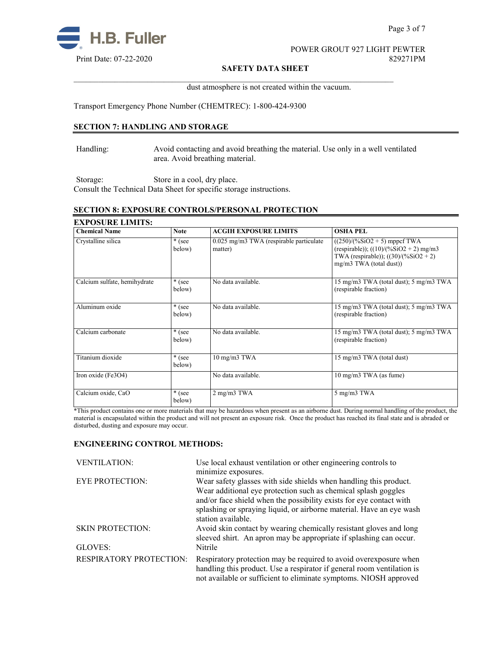

Page 3 of 7

# POWER GROUT 927 LIGHT PEWTER

#### **SAFETY DATA SHEET**

dust atmosphere is not created within the vacuum.

Transport Emergency Phone Number (CHEMTREC): 1-800-424-9300

## **SECTION 7: HANDLING AND STORAGE**

Handling: Avoid contacting and avoid breathing the material. Use only in a well ventilated area. Avoid breathing material.

 $\mathcal{L}_\mathcal{L} = \{ \mathcal{L}_\mathcal{L} = \{ \mathcal{L}_\mathcal{L} = \{ \mathcal{L}_\mathcal{L} = \{ \mathcal{L}_\mathcal{L} = \{ \mathcal{L}_\mathcal{L} = \{ \mathcal{L}_\mathcal{L} = \{ \mathcal{L}_\mathcal{L} = \{ \mathcal{L}_\mathcal{L} = \{ \mathcal{L}_\mathcal{L} = \{ \mathcal{L}_\mathcal{L} = \{ \mathcal{L}_\mathcal{L} = \{ \mathcal{L}_\mathcal{L} = \{ \mathcal{L}_\mathcal{L} = \{ \mathcal{L}_\mathcal{$ 

Storage: Store in a cool, dry place. Consult the Technical Data Sheet for specific storage instructions.

## **SECTION 8: EXPOSURE CONTROLS/PERSONAL PROTECTION**

| <b>EXPOSURE LIMITS:</b>      |                    |                                                    |                                                                                                                                                  |  |
|------------------------------|--------------------|----------------------------------------------------|--------------------------------------------------------------------------------------------------------------------------------------------------|--|
| <b>Chemical Name</b>         | <b>Note</b>        | <b>ACGIH EXPOSURE LIMITS</b>                       | <b>OSHA PEL</b>                                                                                                                                  |  |
| Crystalline silica           | $*(see)$<br>below) | 0.025 mg/m3 TWA (respirable particulate<br>matter) | $((250)/(%SiO2 + 5)$ mppcf TWA<br>(respirable)); $((10)/(%SiO2 + 2)$ mg/m3<br>TWA (respirable)); $((30)/(%SiO2 + 2))$<br>mg/m3 TWA (total dust)) |  |
| Calcium sulfate, hemihydrate | $*(see)$<br>below) | No data available.                                 | 15 mg/m3 TWA (total dust); 5 mg/m3 TWA<br>(respirable fraction)                                                                                  |  |
| Aluminum oxide               | $*(see)$<br>below) | No data available.                                 | 15 mg/m3 TWA (total dust); 5 mg/m3 TWA<br>(respirable fraction)                                                                                  |  |
| Calcium carbonate            | * (see<br>below)   | No data available.                                 | 15 mg/m3 TWA (total dust); 5 mg/m3 TWA<br>(respirable fraction)                                                                                  |  |
| Titanium dioxide             | $*(see)$<br>below) | 10 mg/m3 TWA                                       | 15 mg/m3 TWA (total dust)                                                                                                                        |  |
| Iron oxide (Fe3O4)           |                    | No data available.                                 | $10 \text{ mg/m}$ $3 \text{ TWA}$ (as fume)                                                                                                      |  |
| Calcium oxide, CaO           | * (see<br>below)   | 2 mg/m3 TWA                                        | 5 mg/m3 TWA                                                                                                                                      |  |

\*This product contains one or more materials that may be hazardous when present as an airborne dust. During normal handling of the product, the material is encapsulated within the product and will not present an exposure risk. Once the product has reached its final state and is abraded or disturbed, dusting and exposure may occur.

#### **ENGINEERING CONTROL METHODS:**

| <b>VENTILATION:</b>            | Use local exhaust ventilation or other engineering controls to                                                                                                                                                   |
|--------------------------------|------------------------------------------------------------------------------------------------------------------------------------------------------------------------------------------------------------------|
| <b>EYE PROTECTION:</b>         | minimize exposures.<br>Wear safety glasses with side shields when handling this product.                                                                                                                         |
|                                | Wear additional eye protection such as chemical splash goggles<br>and/or face shield when the possibility exists for eye contact with                                                                            |
|                                | splashing or spraying liquid, or airborne material. Have an eye wash<br>station available.                                                                                                                       |
| <b>SKIN PROTECTION:</b>        | Avoid skin contact by wearing chemically resistant gloves and long<br>sleeved shirt. An apron may be appropriate if splashing can occur.                                                                         |
| GLOVES:                        | Nitrile                                                                                                                                                                                                          |
| <b>RESPIRATORY PROTECTION:</b> | Respiratory protection may be required to avoid overexposure when<br>handling this product. Use a respirator if general room ventilation is<br>not available or sufficient to eliminate symptoms. NIOSH approved |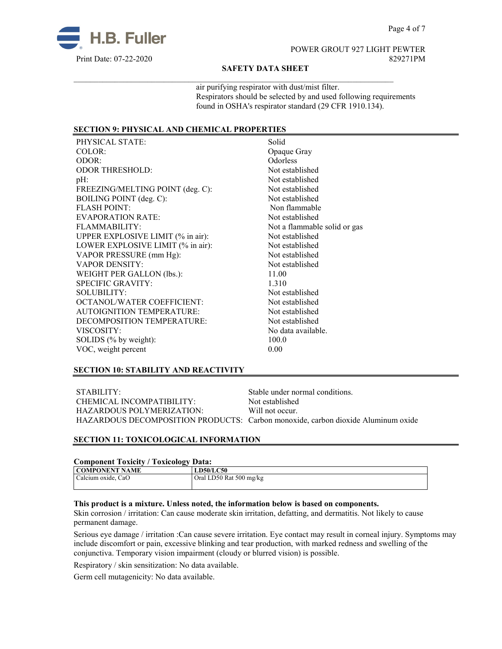

# POWER GROUT 927 LIGHT PEWTER

#### **SAFETY DATA SHEET**

 $\mathcal{L}_\mathcal{L} = \{ \mathcal{L}_\mathcal{L} = \{ \mathcal{L}_\mathcal{L} = \{ \mathcal{L}_\mathcal{L} = \{ \mathcal{L}_\mathcal{L} = \{ \mathcal{L}_\mathcal{L} = \{ \mathcal{L}_\mathcal{L} = \{ \mathcal{L}_\mathcal{L} = \{ \mathcal{L}_\mathcal{L} = \{ \mathcal{L}_\mathcal{L} = \{ \mathcal{L}_\mathcal{L} = \{ \mathcal{L}_\mathcal{L} = \{ \mathcal{L}_\mathcal{L} = \{ \mathcal{L}_\mathcal{L} = \{ \mathcal{L}_\mathcal{$ 

air purifying respirator with dust/mist filter. Respirators should be selected by and used following requirements found in OSHA's respirator standard (29 CFR 1910.134).

## **SECTION 9: PHYSICAL AND CHEMICAL PROPERTIES**

| PHYSICAL STATE:                   | Solid                        |
|-----------------------------------|------------------------------|
| COLOR:                            | Opaque Gray                  |
| ODOR:                             | <b>Odorless</b>              |
| <b>ODOR THRESHOLD:</b>            | Not established              |
| $pH$ :                            | Not established              |
| FREEZING/MELTING POINT (deg. C):  | Not established              |
| BOILING POINT (deg. C):           | Not established              |
| <b>FLASH POINT:</b>               | Non flammable                |
| <b>EVAPORATION RATE:</b>          | Not established              |
| FLAMMABILITY:                     | Not a flammable solid or gas |
| UPPER EXPLOSIVE LIMIT (% in air): | Not established              |
| LOWER EXPLOSIVE LIMIT (% in air): | Not established              |
| VAPOR PRESSURE (mm Hg):           | Not established              |
| <b>VAPOR DENSITY:</b>             | Not established              |
| WEIGHT PER GALLON (lbs.):         | 11.00                        |
| <b>SPECIFIC GRAVITY:</b>          | 1.310                        |
| SOLUBILITY:                       | Not established              |
| OCTANOL/WATER COEFFICIENT:        | Not established              |
| <b>AUTOIGNITION TEMPERATURE:</b>  | Not established              |
| DECOMPOSITION TEMPERATURE:        | Not established              |
| VISCOSITY:                        | No data available.           |
| SOLIDS (% by weight):             | 100.0                        |
| VOC, weight percent               | 0.00                         |
|                                   |                              |

#### **SECTION 10: STABILITY AND REACTIVITY**

STABILITY: Stable under normal conditions.<br>
CHEMICAL INCOMPATIBILITY: Not established CHEMICAL INCOMPATIBILITY: HAZARDOUS POLYMERIZATION: Will not occur. HAZARDOUS DECOMPOSITION PRODUCTS: Carbon monoxide, carbon dioxide Aluminum oxide

#### **SECTION 11: TOXICOLOGICAL INFORMATION**

#### **Component Toxicity / Toxicology Data:**

| COMPONENT NAME     | .<br><b>LD50/LC50</b>   |
|--------------------|-------------------------|
| Calcium oxide, CaO | Oral LD50 Rat 500 mg/kg |
|                    |                         |

#### **This product is a mixture. Unless noted, the information below is based on components.**

Skin corrosion / irritation: Can cause moderate skin irritation, defatting, and dermatitis. Not likely to cause permanent damage.

Serious eye damage / irritation :Can cause severe irritation. Eye contact may result in corneal injury. Symptoms may include discomfort or pain, excessive blinking and tear production, with marked redness and swelling of the conjunctiva. Temporary vision impairment (cloudy or blurred vision) is possible.

Respiratory / skin sensitization: No data available.

Germ cell mutagenicity: No data available.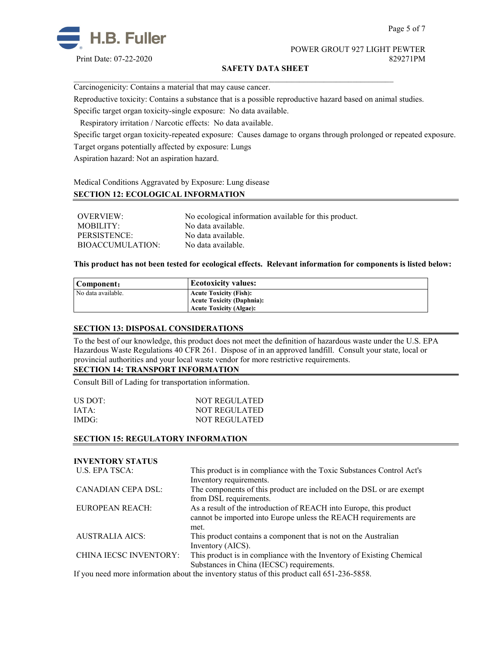

POWER GROUT 927 LIGHT PEWTER Print Date: 07-22-2020 829271PM

#### **SAFETY DATA SHEET**

Carcinogenicity: Contains a material that may cause cancer.

Reproductive toxicity: Contains a substance that is a possible reproductive hazard based on animal studies.

 $\mathcal{L}_\mathcal{L} = \{ \mathcal{L}_\mathcal{L} = \{ \mathcal{L}_\mathcal{L} = \{ \mathcal{L}_\mathcal{L} = \{ \mathcal{L}_\mathcal{L} = \{ \mathcal{L}_\mathcal{L} = \{ \mathcal{L}_\mathcal{L} = \{ \mathcal{L}_\mathcal{L} = \{ \mathcal{L}_\mathcal{L} = \{ \mathcal{L}_\mathcal{L} = \{ \mathcal{L}_\mathcal{L} = \{ \mathcal{L}_\mathcal{L} = \{ \mathcal{L}_\mathcal{L} = \{ \mathcal{L}_\mathcal{L} = \{ \mathcal{L}_\mathcal{$ 

Specific target organ toxicity-single exposure:No data available.

Respiratory irritation / Narcotic effects: No data available.

Specific target organ toxicity-repeated exposure:Causes damage to organs through prolonged or repeated exposure. Target organs potentially affected by exposure: Lungs

Aspiration hazard: Not an aspiration hazard.

Medical Conditions Aggravated by Exposure: Lung disease

#### **SECTION 12: ECOLOGICAL INFORMATION**

| OVERVIEW:        | No ecological information available for this product. |
|------------------|-------------------------------------------------------|
| MOBILITY:        | No data available.                                    |
| PERSISTENCE:     | No data available.                                    |
| BIOACCUMULATION: | No data available.                                    |

**This product has not been tested for ecological effects. Relevant information for components is listed below:**

| Component:         | <b>Ecotoxicity values:</b>    |
|--------------------|-------------------------------|
| No data available. | <b>Acute Toxicity (Fish):</b> |
|                    | Acute Toxicity (Daphnia):     |
|                    | Acute Toxicity (Algae):       |

#### **SECTION 13: DISPOSAL CONSIDERATIONS**

To the best of our knowledge, this product does not meet the definition of hazardous waste under the U.S. EPA Hazardous Waste Regulations 40 CFR 261. Dispose of in an approved landfill. Consult your state, local or provincial authorities and your local waste vendor for more restrictive requirements.

## **SECTION 14: TRANSPORT INFORMATION**

Consult Bill of Lading for transportation information.

| US DOT: | <b>NOT REGULATED</b> |
|---------|----------------------|
| IATA:   | NOT REGULATED        |
| IMDG:   | NOT REGULATED        |

#### **SECTION 15: REGULATORY INFORMATION**

| <b>INVENTORY STATUS</b> |                                                                                                                                                                                                                                                                                                         |
|-------------------------|---------------------------------------------------------------------------------------------------------------------------------------------------------------------------------------------------------------------------------------------------------------------------------------------------------|
| U.S. EPA TSCA:          | This product is in compliance with the Toxic Substances Control Act's<br>Inventory requirements.                                                                                                                                                                                                        |
| CANADIAN CEPA DSL:      | The components of this product are included on the DSL or are exempt<br>from DSL requirements.                                                                                                                                                                                                          |
| <b>EUROPEAN REACH:</b>  | As a result of the introduction of REACH into Europe, this product<br>cannot be imported into Europe unless the REACH requirements are<br>met.                                                                                                                                                          |
| <b>AUSTRALIA AICS:</b>  | This product contains a component that is not on the Australian<br>Inventory (AICS).                                                                                                                                                                                                                    |
| CHINA IECSC INVENTORY:  | This product is in compliance with the Inventory of Existing Chemical<br>Substances in China (IECSC) requirements.                                                                                                                                                                                      |
| $\mathbf{r}$ $\alpha$   | $\mathcal{L}$ , and $\mathcal{L}$ , and $\mathcal{L}$ , and $\mathcal{L}$ , and $\mathcal{L}$ , and $\mathcal{L}$ , and $\mathcal{L}$ , and $\mathcal{L}$ , and $\mathcal{L}$ , and $\mathcal{L}$ , and $\mathcal{L}$ , and $\mathcal{L}$ , and $\mathcal{L}$ , and $\mathcal{L}$ , and $\mathcal{L}$ , |

If you need more information about the inventory status of this product call 651-236-5858.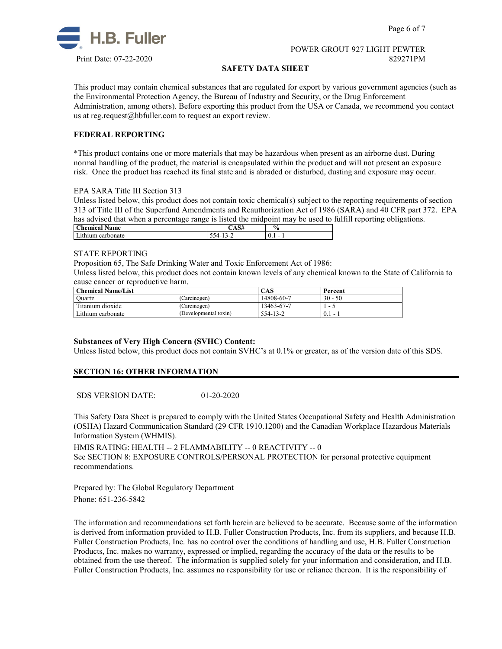

Page 6 of 7

#### POWER GROUT 927 LIGHT PEWTER Print Date: 07-22-2020 829271PM

#### **SAFETY DATA SHEET**

 $\mathcal{L}_\mathcal{L} = \{ \mathcal{L}_\mathcal{L} = \{ \mathcal{L}_\mathcal{L} = \{ \mathcal{L}_\mathcal{L} = \{ \mathcal{L}_\mathcal{L} = \{ \mathcal{L}_\mathcal{L} = \{ \mathcal{L}_\mathcal{L} = \{ \mathcal{L}_\mathcal{L} = \{ \mathcal{L}_\mathcal{L} = \{ \mathcal{L}_\mathcal{L} = \{ \mathcal{L}_\mathcal{L} = \{ \mathcal{L}_\mathcal{L} = \{ \mathcal{L}_\mathcal{L} = \{ \mathcal{L}_\mathcal{L} = \{ \mathcal{L}_\mathcal{$ 

This product may contain chemical substances that are regulated for export by various government agencies (such as the Environmental Protection Agency, the Bureau of Industry and Security, or the Drug Enforcement Administration, among others). Before exporting this product from the USA or Canada, we recommend you contact us at reg.request@hbfuller.com to request an export review.

#### **FEDERAL REPORTING**

\*This product contains one or more materials that may be hazardous when present as an airborne dust. During normal handling of the product, the material is encapsulated within the product and will not present an exposure risk. Once the product has reached its final state and is abraded or disturbed, dusting and exposure may occur.

#### EPA SARA Title III Section 313

Unless listed below, this product does not contain toxic chemical(s) subject to the reporting requirements of section 313 of Title III of the Superfund Amendments and Reauthorization Act of 1986 (SARA) and 40 CFR part 372. EPA has advised that when a percentage range is listed the midpoint may be used to fulfill reporting obligations.

| --<br>Name<br>hemical | $\sim$<br>JН | $\mathbf{0}$<br>76 |
|-----------------------|--------------|--------------------|
| carbonate             | -            | 0.1                |
| 433444                | ۰.           |                    |

#### STATE REPORTING

Proposition 65, The Safe Drinking Water and Toxic Enforcement Act of 1986:

Unless listed below, this product does not contain known levels of any chemical known to the State of California to cause cancer or reproductive harm.

| Chemical Name/List |                       | CAS        | Percent       |
|--------------------|-----------------------|------------|---------------|
| Ouartz             | (Carcinogen)          | 14808-60-7 | $30 - 50$     |
| Titanium dioxide   | (Carcinogen)          | 13463-67-7 | -             |
| Lithium carbonate  | (Developmental toxin) | 554-13-2   | 0.1<br>$\sim$ |

#### **Substances of Very High Concern (SVHC) Content:**

Unless listed below, this product does not contain SVHC's at 0.1% or greater, as of the version date of this SDS.

#### **SECTION 16: OTHER INFORMATION**

SDS VERSION DATE: 01-20-2020

This Safety Data Sheet is prepared to comply with the United States Occupational Safety and Health Administration (OSHA) Hazard Communication Standard (29 CFR 1910.1200) and the Canadian Workplace Hazardous Materials Information System (WHMIS).

HMIS RATING: HEALTH -- 2 FLAMMABILITY -- 0 REACTIVITY -- 0 See SECTION 8: EXPOSURE CONTROLS/PERSONAL PROTECTION for personal protective equipment recommendations.

Prepared by: The Global Regulatory Department Phone: 651-236-5842

The information and recommendations set forth herein are believed to be accurate. Because some of the information is derived from information provided to H.B. Fuller Construction Products, Inc. from its suppliers, and because H.B. Fuller Construction Products, Inc. has no control over the conditions of handling and use, H.B. Fuller Construction Products, Inc. makes no warranty, expressed or implied, regarding the accuracy of the data or the results to be obtained from the use thereof. The information is supplied solely for your information and consideration, and H.B. Fuller Construction Products, Inc. assumes no responsibility for use or reliance thereon. It is the responsibility of